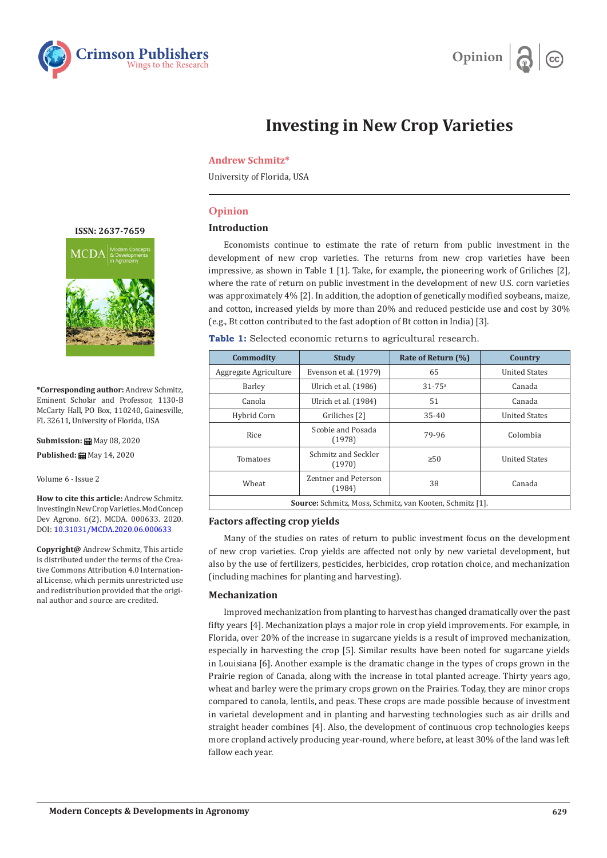



# **Investing in New Crop Varieties**

#### **Andrew Schmitz\***

University of Florida, USA

# **Opinion**

#### **Introduction**

Economists continue to estimate the rate of return from public investment in the development of new crop varieties. The returns from new crop varieties have been impressive, as shown in Table 1 [1]. Take, for example, the pioneering work of Griliches [2], where the rate of return on public investment in the development of new U.S. corn varieties was approximately 4% [2]. In addition, the adoption of genetically modified soybeans, maize, and cotton, increased yields by more than 20% and reduced pesticide use and cost by 30% (e.g., Bt cotton contributed to the fast adoption of Bt cotton in India) [3].

| Table 1: Selected economic returns to agricultural research. |  |
|--------------------------------------------------------------|--|
|--------------------------------------------------------------|--|

| Commodity                                                       | <b>Study</b>                   | Rate of Return (%)     | Country              |
|-----------------------------------------------------------------|--------------------------------|------------------------|----------------------|
| Aggregate Agriculture                                           | Evenson et al. (1979)          | 65                     | <b>United States</b> |
| Barley                                                          | Ulrich et al. (1986)           | $31 - 75$ <sup>a</sup> | Canada               |
| Canola                                                          | Ulrich et al. (1984)           | 51                     | Canada               |
| Hybrid Corn                                                     | Griliches [2]                  | 35-40                  | <b>United States</b> |
| <b>Rice</b>                                                     | Scobie and Posada<br>(1978)    | 79-96                  | Colombia             |
| Tomatoes                                                        | Schmitz and Seckler<br>(1970)  | $\geq 50$              | <b>United States</b> |
| Wheat                                                           | Zentner and Peterson<br>(1984) | 38                     | Canada               |
| <b>Source:</b> Schmitz, Moss, Schmitz, van Kooten, Schmitz [1]. |                                |                        |                      |

#### **Factors affecting crop yields**

Many of the studies on rates of return to public investment focus on the development of new crop varieties. Crop yields are affected not only by new varietal development, but also by the use of fertilizers, pesticides, herbicides, crop rotation choice, and mechanization (including machines for planting and harvesting).

#### **Mechanization**

Improved mechanization from planting to harvest has changed dramatically over the past fifty years [4]. Mechanization plays a major role in crop yield improvements. For example, in Florida, over 20% of the increase in sugarcane yields is a result of improved mechanization, especially in harvesting the crop [5]. Similar results have been noted for sugarcane yields in Louisiana [6]. Another example is the dramatic change in the types of crops grown in the Prairie region of Canada, along with the increase in total planted acreage. Thirty years ago, wheat and barley were the primary crops grown on the Prairies. Today, they are minor crops compared to canola, lentils, and peas. These crops are made possible because of investment in varietal development and in planting and harvesting technologies such as air drills and straight header combines [4]. Also, the development of continuous crop technologies keeps more cropland actively producing year-round, where before, at least 30% of the land was left fallow each year.

**[ISSN: 2637-7659](https://www.crimsonpublishers.com/mcda/)**



**\*Corresponding author:** Andrew Schmitz, Eminent Scholar and Professor, 1130-B McCarty Hall, PO Box, 110240, Gainesville, FL 32611, University of Florida, USA

**Submission: 曲** May 08, 2020 Published: **曲** May 14, 2020

Volume 6 - Issue 2

**How to cite this article:** Andrew Schmitz. Investing in New Crop Varieties. Mod Concep Dev Agrono. 6(2). MCDA. 000633. 2020. DOI: [10.31031/MCDA.2020.06.000633](http://dx.doi.org/10.31031/MCDA.2020.06.000633)

**Copyright@** Andrew Schmitz, This article is distributed under the terms of the Creative Commons Attribution 4.0 International License, which permits unrestricted use and redistribution provided that the original author and source are credited.